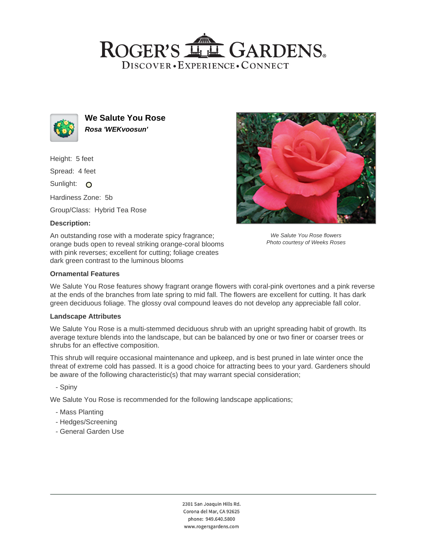# ROGER'S LL GARDENS. DISCOVER · EXPERIENCE · CONNECT



**We Salute You Rose Rosa 'WEKvoosun'**

Height: 5 feet

Spread: 4 feet

Sunlight: O

Hardiness Zone: 5b

Group/Class: Hybrid Tea Rose

# **Description:**

An outstanding rose with a moderate spicy fragrance; orange buds open to reveal striking orange-coral blooms with pink reverses; excellent for cutting; foliage creates dark green contrast to the luminous blooms



We Salute You Rose flowers Photo courtesy of Weeks Roses

### **Ornamental Features**

We Salute You Rose features showy fragrant orange flowers with coral-pink overtones and a pink reverse at the ends of the branches from late spring to mid fall. The flowers are excellent for cutting. It has dark green deciduous foliage. The glossy oval compound leaves do not develop any appreciable fall color.

#### **Landscape Attributes**

We Salute You Rose is a multi-stemmed deciduous shrub with an upright spreading habit of growth. Its average texture blends into the landscape, but can be balanced by one or two finer or coarser trees or shrubs for an effective composition.

This shrub will require occasional maintenance and upkeep, and is best pruned in late winter once the threat of extreme cold has passed. It is a good choice for attracting bees to your yard. Gardeners should be aware of the following characteristic(s) that may warrant special consideration;

- Spiny

We Salute You Rose is recommended for the following landscape applications;

- Mass Planting
- Hedges/Screening
- General Garden Use

2301 San Joaquin Hills Rd. Corona del Mar, CA 92625 phone: 949.640.5800 www.rogersgardens.com